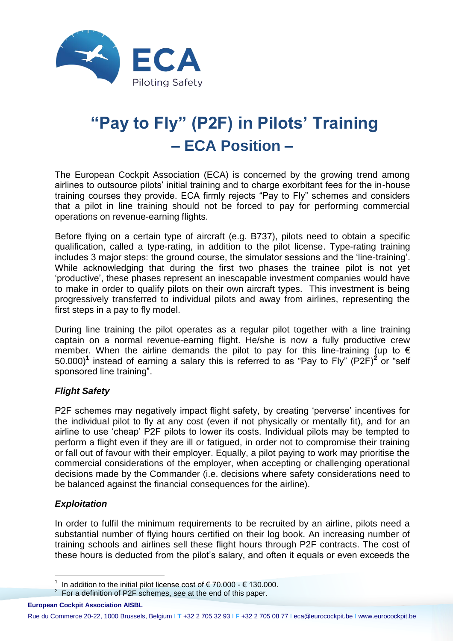

# **"Pay to Fly" (P2F) in Pilots' Training – ECA Position –**

The European Cockpit Association (ECA) is concerned by the growing trend among airlines to outsource pilots' initial training and to charge exorbitant fees for the in-house training courses they provide. ECA firmly rejects "Pay to Fly" schemes and considers that a pilot in line training should not be forced to pay for performing commercial operations on revenue-earning flights.

Before flying on a certain type of aircraft (e.g. B737), pilots need to obtain a specific qualification, called a type-rating, in addition to the pilot license. Type-rating training includes 3 major steps: the ground course, the simulator sessions and the 'line-training'. While acknowledging that during the first two phases the trainee pilot is not yet 'productive', these phases represent an inescapable investment companies would have to make in order to qualify pilots on their own aircraft types. This investment is being progressively transferred to individual pilots and away from airlines, representing the first steps in a pay to fly model.

During line training the pilot operates as a regular pilot together with a line training captain on a normal revenue-earning flight. He/she is now a fully productive crew member. When the airline demands the pilot to pay for this line-training (up to  $\epsilon$ 50.000)**<sup>1</sup>** instead of earning a salary this is referred to as "Pay to Fly" (P2F)**<sup>2</sup>** or "self sponsored line training".

# *Flight Safety*

P2F schemes may negatively impact flight safety, by creating 'perverse' incentives for the individual pilot to fly at any cost (even if not physically or mentally fit), and for an airline to use 'cheap' P2F pilots to lower its costs. Individual pilots may be tempted to perform a flight even if they are ill or fatigued, in order not to compromise their training or fall out of favour with their employer. Equally, a pilot paying to work may prioritise the commercial considerations of the employer, when accepting or challenging operational decisions made by the Commander (i.e. decisions where safety considerations need to be balanced against the financial consequences for the airline).

# *Exploitation*

In order to fulfil the minimum requirements to be recruited by an airline, pilots need a substantial number of flying hours certified on their log book. An increasing number of training schools and airlines sell these flight hours through P2F contracts. The cost of these hours is deducted from the pilot's salary, and often it equals or even exceeds the

 1 In addition to the initial pilot license cost of € 70.000 - € 130.000.

 $2^{2}$  For a definition of P2F schemes, see at the end of this paper.

**European Cockpit Association AISBL**